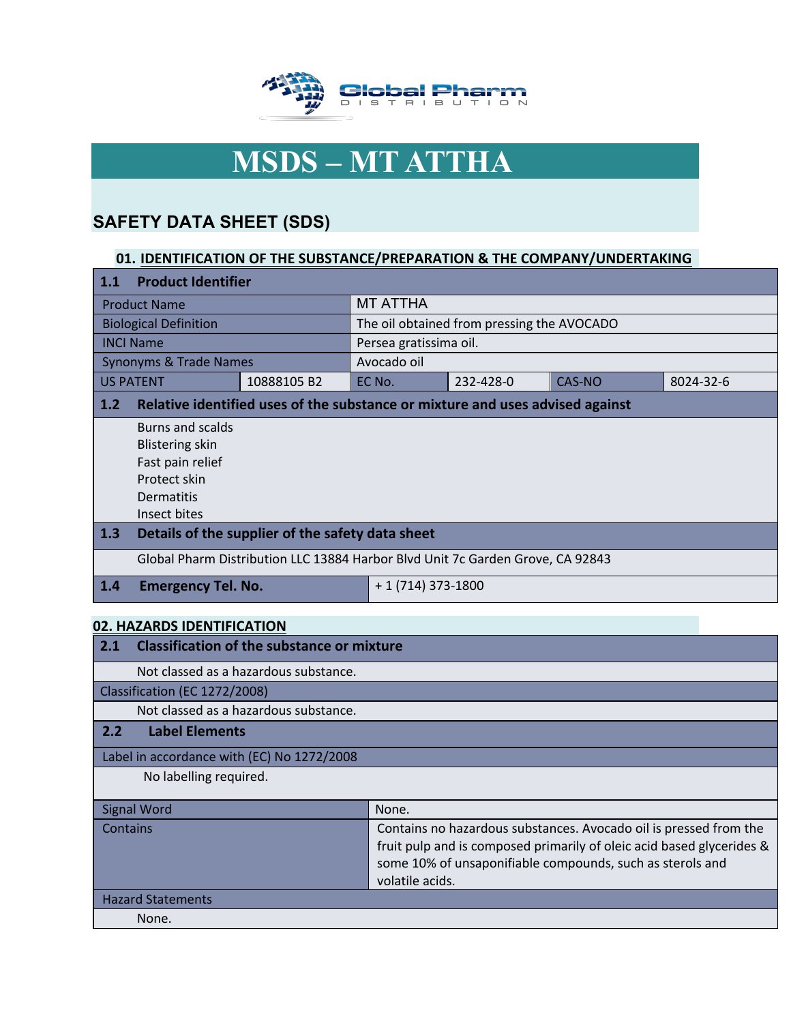

# **MSDS – MT ATTHA**

# **SAFETY DATA SHEET (SDS)**

## **01. IDENTIFICATION OF THE SUBSTANCE/PREPARATION & THE COMPANY/UNDERTAKING**

| 1.1                          | <b>Product Identifier</b>                                                      |                                                                               |             |                                            |               |           |
|------------------------------|--------------------------------------------------------------------------------|-------------------------------------------------------------------------------|-------------|--------------------------------------------|---------------|-----------|
| <b>Product Name</b>          |                                                                                | <b>MT ATTHA</b>                                                               |             |                                            |               |           |
| <b>Biological Definition</b> |                                                                                |                                                                               |             | The oil obtained from pressing the AVOCADO |               |           |
|                              | <b>INCI Name</b>                                                               |                                                                               |             | Persea gratissima oil.                     |               |           |
|                              | <b>Synonyms &amp; Trade Names</b>                                              |                                                                               | Avocado oil |                                            |               |           |
|                              | <b>US PATENT</b>                                                               | 10888105B2                                                                    | EC No.      | 232-428-0                                  | <b>CAS-NO</b> | 8024-32-6 |
| 1.2                          |                                                                                | Relative identified uses of the substance or mixture and uses advised against |             |                                            |               |           |
|                              | Burns and scalds                                                               |                                                                               |             |                                            |               |           |
|                              | <b>Blistering skin</b>                                                         |                                                                               |             |                                            |               |           |
|                              | Fast pain relief                                                               |                                                                               |             |                                            |               |           |
|                              | Protect skin                                                                   |                                                                               |             |                                            |               |           |
|                              | Dermatitis                                                                     |                                                                               |             |                                            |               |           |
|                              | Insect bites                                                                   |                                                                               |             |                                            |               |           |
| $\vert$ 1.3                  | Details of the supplier of the safety data sheet                               |                                                                               |             |                                            |               |           |
|                              | Global Pharm Distribution LLC 13884 Harbor Blvd Unit 7c Garden Grove, CA 92843 |                                                                               |             |                                            |               |           |
| 1.4                          | $+1(714)373-1800$<br><b>Emergency Tel. No.</b>                                 |                                                                               |             |                                            |               |           |

## **02. HAZARDS IDENTIFICATION**

| <b>Classification of the substance or mixture</b><br>2.1 |                                                                                                                                                                                                                            |  |
|----------------------------------------------------------|----------------------------------------------------------------------------------------------------------------------------------------------------------------------------------------------------------------------------|--|
| Not classed as a hazardous substance.                    |                                                                                                                                                                                                                            |  |
| Classification (EC 1272/2008)                            |                                                                                                                                                                                                                            |  |
| Not classed as a hazardous substance.                    |                                                                                                                                                                                                                            |  |
| <b>Label Elements</b><br>2.2                             |                                                                                                                                                                                                                            |  |
| Label in accordance with (EC) No 1272/2008               |                                                                                                                                                                                                                            |  |
| No labelling required.                                   |                                                                                                                                                                                                                            |  |
| <b>Signal Word</b>                                       | None.                                                                                                                                                                                                                      |  |
| Contains                                                 | Contains no hazardous substances. Avocado oil is pressed from the<br>fruit pulp and is composed primarily of oleic acid based glycerides &<br>some 10% of unsaponifiable compounds, such as sterols and<br>volatile acids. |  |
| <b>Hazard Statements</b>                                 |                                                                                                                                                                                                                            |  |
| None.                                                    |                                                                                                                                                                                                                            |  |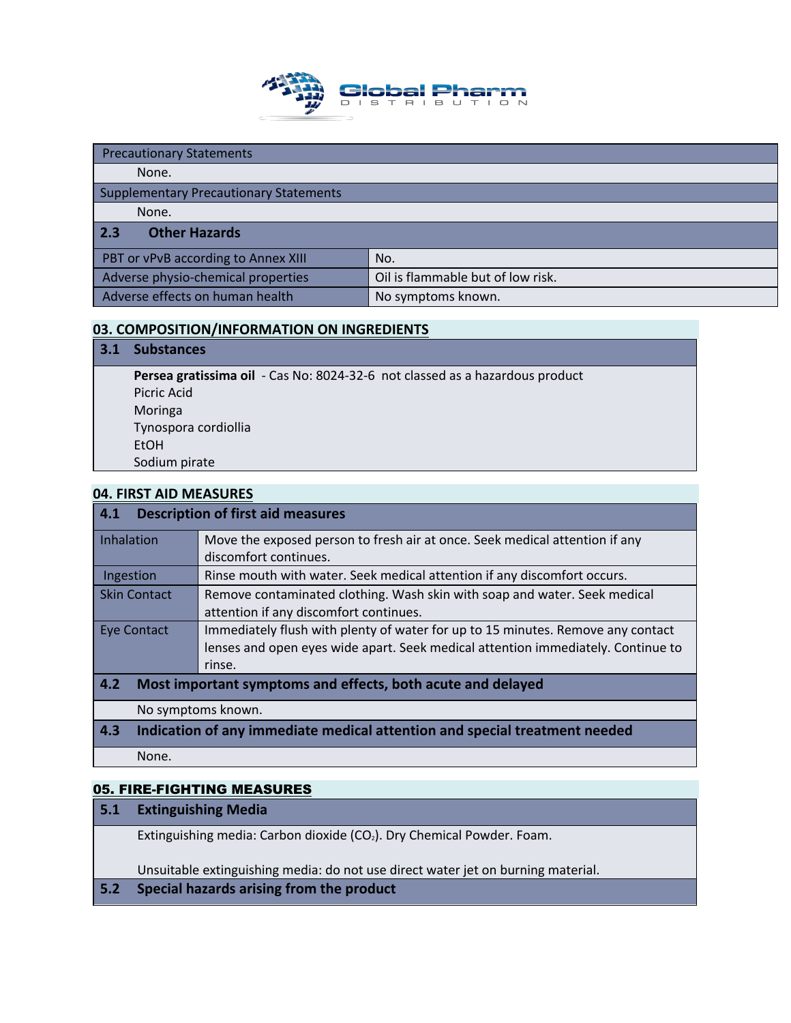

| <b>Precautionary Statements</b>               |                                   |  |  |
|-----------------------------------------------|-----------------------------------|--|--|
| None.                                         |                                   |  |  |
| <b>Supplementary Precautionary Statements</b> |                                   |  |  |
| None.                                         |                                   |  |  |
| <b>Other Hazards</b><br>2.3                   |                                   |  |  |
| PBT or vPvB according to Annex XIII           | No.                               |  |  |
| Adverse physio-chemical properties            | Oil is flammable but of low risk. |  |  |
|                                               |                                   |  |  |

## **03. COMPOSITION/INFORMATION ON INGREDIENTS**

| <b>3.1</b> | <b>Substances</b>                                                            |
|------------|------------------------------------------------------------------------------|
|            | Persea gratissima oil - Cas No: 8024-32-6 not classed as a hazardous product |
|            | Picric Acid                                                                  |
|            | Moringa                                                                      |
|            | Tynospora cordiollia                                                         |
|            | <b>EtOH</b>                                                                  |
|            | Sodium pirate                                                                |

## **04. FIRST AID MEASURES**

| 4.1<br><b>Description of first aid measures</b>                    |                                                                                  |  |  |  |
|--------------------------------------------------------------------|----------------------------------------------------------------------------------|--|--|--|
| Inhalation                                                         | Move the exposed person to fresh air at once. Seek medical attention if any      |  |  |  |
|                                                                    | discomfort continues.                                                            |  |  |  |
| Ingestion                                                          | Rinse mouth with water. Seek medical attention if any discomfort occurs.         |  |  |  |
| <b>Skin Contact</b>                                                | Remove contaminated clothing. Wash skin with soap and water. Seek medical        |  |  |  |
|                                                                    | attention if any discomfort continues.                                           |  |  |  |
| Eye Contact                                                        | Immediately flush with plenty of water for up to 15 minutes. Remove any contact  |  |  |  |
|                                                                    | lenses and open eyes wide apart. Seek medical attention immediately. Continue to |  |  |  |
| rinse.                                                             |                                                                                  |  |  |  |
| 4.2<br>Most important symptoms and effects, both acute and delayed |                                                                                  |  |  |  |
|                                                                    | No symptoms known.                                                               |  |  |  |
| 4.3                                                                | Indication of any immediate medical attention and special treatment needed       |  |  |  |
| None.                                                              |                                                                                  |  |  |  |

## 05. FIRE-FIGHTING MEASURES

| <b>Extinguishing Media</b><br> 5.1 |  |
|------------------------------------|--|
|------------------------------------|--|

Extinguishing media: Carbon dioxide (CO<sub>2</sub>). Dry Chemical Powder. Foam.

Unsuitable extinguishing media: do not use direct water jet on burning material.

## **5.2 Special hazards arising from the product**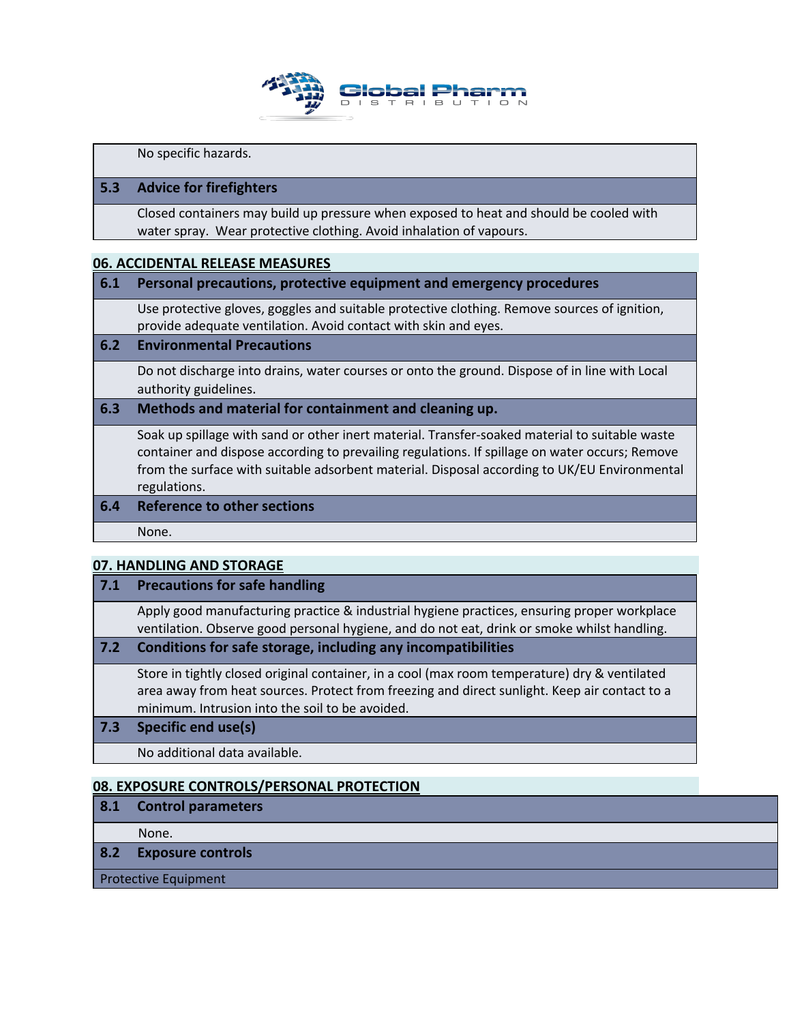

No specific hazards.

## **5.3 Advice for firefighters**

Closed containers may build up pressure when exposed to heat and should be cooled with water spray. Wear protective clothing. Avoid inhalation of vapours.

#### **06. ACCIDENTAL RELEASE MEASURES**

#### **6.1 Personal precautions, protective equipment and emergency procedures**

Use protective gloves, goggles and suitable protective clothing. Remove sources of ignition, provide adequate ventilation. Avoid contact with skin and eyes.

### **6.2 Environmental Precautions**

Do not discharge into drains, water courses or onto the ground. Dispose of in line with Local authority guidelines.

#### **6.3 Methods and material for containment and cleaning up.**

Soak up spillage with sand or other inert material. Transfer-soaked material to suitable waste container and dispose according to prevailing regulations. If spillage on water occurs; Remove from the surface with suitable adsorbent material. Disposal according to UK/EU Environmental regulations.

## **6.4 Reference to other sections**

None.

#### **07. HANDLING AND STORAGE**

#### **7.1 Precautions for safe handling**

Apply good manufacturing practice & industrial hygiene practices, ensuring proper workplace ventilation. Observe good personal hygiene, and do not eat, drink or smoke whilst handling.

#### **7.2 Conditions for safe storage, including any incompatibilities**

Store in tightly closed original container, in a cool (max room temperature) dry & ventilated area away from heat sources. Protect from freezing and direct sunlight. Keep air contact to a minimum. Intrusion into the soil to be avoided.

## **7.3 Specific end use(s)**

No additional data available.

#### **08. EXPOSURE CONTROLS/PERSONAL PROTECTION**

**8.1 Control parameters**

None.

**8.2 Exposure controls**

Protective Equipment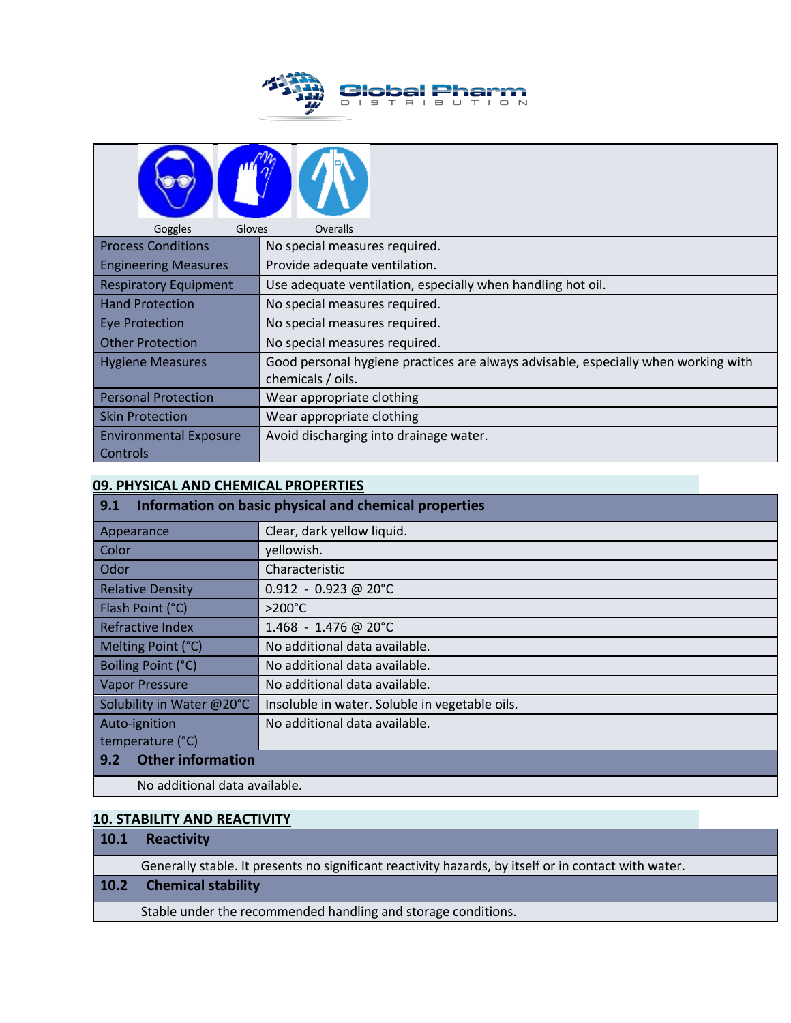

| Goggles<br>Gloves                                   | Overalls                                                                           |  |  |
|-----------------------------------------------------|------------------------------------------------------------------------------------|--|--|
| <b>Process Conditions</b>                           | No special measures required.                                                      |  |  |
| <b>Engineering Measures</b>                         | Provide adequate ventilation.                                                      |  |  |
| <b>Respiratory Equipment</b>                        | Use adequate ventilation, especially when handling hot oil.                        |  |  |
| <b>Hand Protection</b>                              | No special measures required.                                                      |  |  |
| <b>Eye Protection</b>                               | No special measures required.                                                      |  |  |
| <b>Other Protection</b>                             | No special measures required.                                                      |  |  |
| <b>Hygiene Measures</b>                             | Good personal hygiene practices are always advisable, especially when working with |  |  |
|                                                     | chemicals / oils.                                                                  |  |  |
| <b>Personal Protection</b>                          | Wear appropriate clothing                                                          |  |  |
| Wear appropriate clothing<br><b>Skin Protection</b> |                                                                                    |  |  |
| <b>Environmental Exposure</b>                       | Avoid discharging into drainage water.                                             |  |  |
| Controls                                            |                                                                                    |  |  |

## **09. PHYSICAL AND CHEMICAL PROPERTIES**

| Information on basic physical and chemical properties<br>9.1 |                                                |  |
|--------------------------------------------------------------|------------------------------------------------|--|
| Appearance                                                   | Clear, dark yellow liquid.                     |  |
| Color                                                        | yellowish.                                     |  |
| Odor                                                         | Characteristic                                 |  |
| <b>Relative Density</b>                                      | $0.912 - 0.923$ @ 20°C                         |  |
| Flash Point (°C)                                             | $>200^{\circ}$ C                               |  |
| Refractive Index                                             | 1.468 - 1.476 @ 20°C                           |  |
| Melting Point (°C)                                           | No additional data available.                  |  |
| Boiling Point (°C)                                           | No additional data available.                  |  |
| <b>Vapor Pressure</b>                                        | No additional data available.                  |  |
| Solubility in Water @20°C                                    | Insoluble in water. Soluble in vegetable oils. |  |
| Auto-ignition                                                | No additional data available.                  |  |
| temperature (°C)                                             |                                                |  |
| <b>Other information</b><br>9.2                              |                                                |  |
| No additional data available.                                |                                                |  |

## **10. STABILITY AND REACTIVITY**

## **10.1 Reactivity**

Generally stable. It presents no significant reactivity hazards, by itself or in contact with water.

## **10.2 Chemical stability**

Stable under the recommended handling and storage conditions.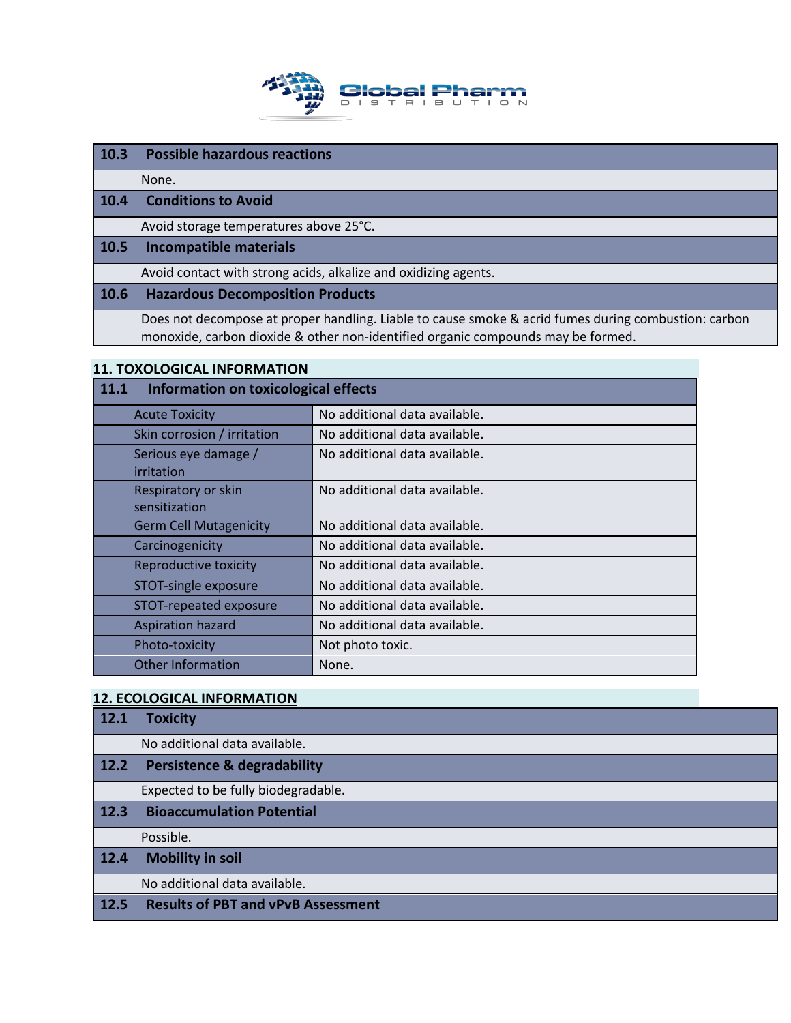

## **10.3 Possible hazardous reactions**

None.

## **10.4 Conditions to Avoid**

Avoid storage temperatures above 25°C.

#### **10.5 Incompatible materials**

Avoid contact with strong acids, alkalize and oxidizing agents.

## **10.6 Hazardous Decomposition Products**

Does not decompose at proper handling. Liable to cause smoke & acrid fumes during combustion: carbon monoxide, carbon dioxide & other non-identified organic compounds may be formed.

#### **11. TOXOLOGICAL INFORMATION**

| Information on toxicological effects<br>11.1 |                               |
|----------------------------------------------|-------------------------------|
| <b>Acute Toxicity</b>                        | No additional data available. |
| Skin corrosion / irritation                  | No additional data available. |
| Serious eye damage /                         | No additional data available. |
| irritation                                   |                               |
| Respiratory or skin                          | No additional data available. |
| sensitization                                |                               |
| <b>Germ Cell Mutagenicity</b>                | No additional data available. |
| Carcinogenicity                              | No additional data available. |
| Reproductive toxicity                        | No additional data available. |
| STOT-single exposure                         | No additional data available. |
| STOT-repeated exposure                       | No additional data available. |
| <b>Aspiration hazard</b>                     | No additional data available. |
| Photo-toxicity                               | Not photo toxic.              |
| <b>Other Information</b>                     | None.                         |

## **12. ECOLOGICAL INFORMATION**

| 12.1   | <b>Toxicity</b>                           |
|--------|-------------------------------------------|
|        | No additional data available.             |
| $12.2$ | <b>Persistence &amp; degradability</b>    |
|        | Expected to be fully biodegradable.       |
| 12.3   | <b>Bioaccumulation Potential</b>          |
|        | Possible.                                 |
| 12.4   | <b>Mobility in soil</b>                   |
|        | No additional data available.             |
| 12.5   | <b>Results of PBT and vPvB Assessment</b> |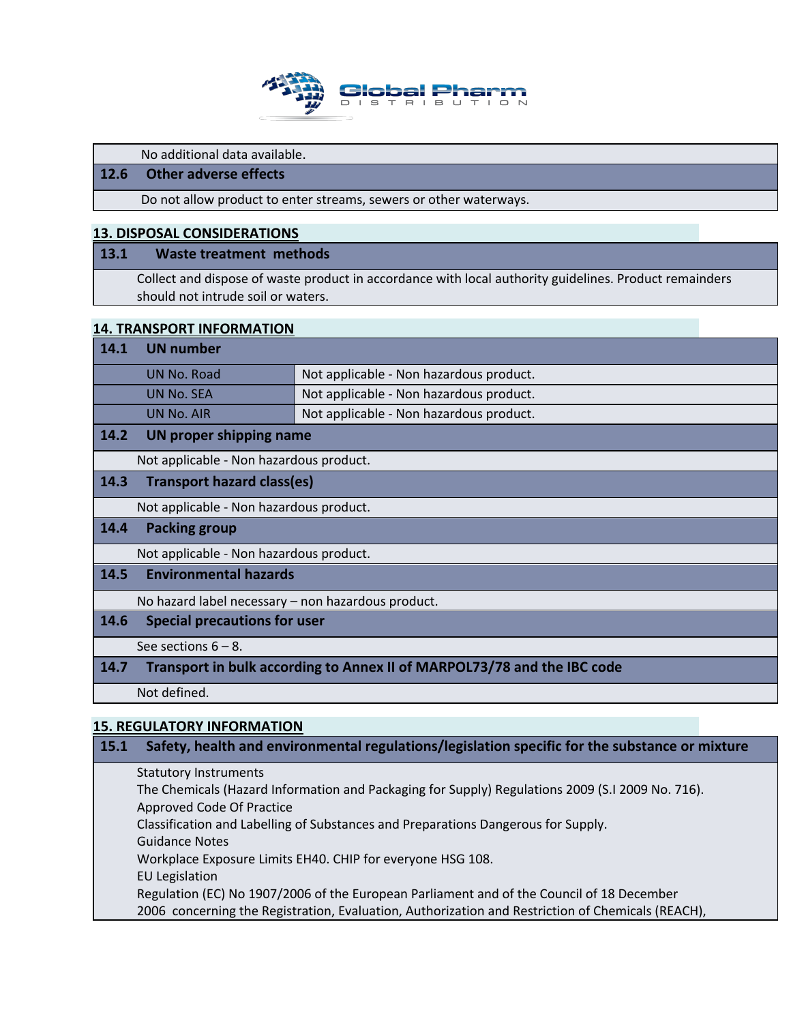

No additional data available.

## **12.6 Other adverse effects**

Do not allow product to enter streams, sewers or other waterways.

#### **13. DISPOSAL CONSIDERATIONS**

#### **13.1 Waste treatment methods**

Collect and dispose of waste product in accordance with local authority guidelines. Product remainders should not intrude soil or waters.

#### **14. TRANSPORT INFORMATION**

| 14.1 | UN number               |                                         |
|------|-------------------------|-----------------------------------------|
|      | UN No. Road             | Not applicable - Non hazardous product. |
|      | UN No. SEA              | Not applicable - Non hazardous product. |
|      | UN No. AIR              | Not applicable - Non hazardous product. |
| 14.2 | UN proper shipping name |                                         |

Not applicable - Non hazardous product.

#### **14.3 Transport hazard class(es)**

Not applicable - Non hazardous product.

## **14.4 Packing group**

Not applicable - Non hazardous product.

#### **14.5 Environmental hazards**

No hazard label necessary – non hazardous product.

## **14.6 Special precautions for user**

See sections 6 – 8.

## **14.7 Transport in bulk according to Annex II of MARPOL73/78 and the IBC code**

Not defined.

## **15. REGULATORY INFORMATION**

## **15.1 Safety, health and environmental regulations/legislation specific for the substance or mixture**

Statutory Instruments The Chemicals (Hazard Information and Packaging for Supply) Regulations 2009 (S.I 2009 No. 716). Approved Code Of Practice Classification and Labelling of Substances and Preparations Dangerous for Supply. Guidance Notes Workplace Exposure Limits EH40. CHIP for everyone HSG 108. EU Legislation Regulation (EC) No 1907/2006 of the European Parliament and of the Council of 18 December 2006 concerning the Registration, Evaluation, Authorization and Restriction of Chemicals (REACH),